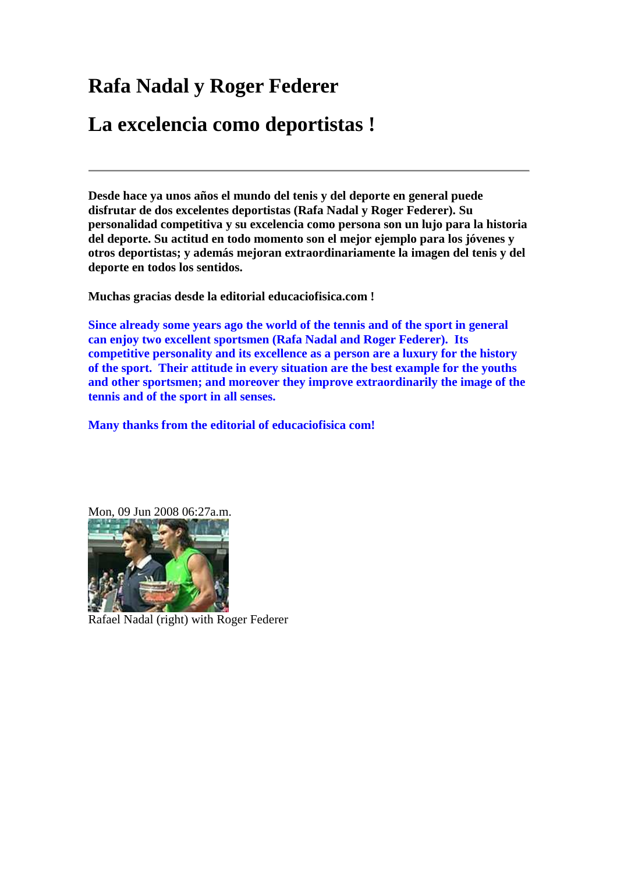## **Rafa Nadal y Roger Federer**

## **La excelencia como deportistas !**

**Desde hace ya unos años el mundo del tenis y del deporte en general puede disfrutar de dos excelentes deportistas (Rafa Nadal y Roger Federer). Su personalidad competitiva y su excelencia como persona son un lujo para la historia del deporte. Su actitud en todo momento son el mejor ejemplo para los jóvenes y otros deportistas; y además mejoran extraordinariamente la imagen del tenis y del deporte en todos los sentidos.** 

**Muchas gracias desde la editorial educaciofisica.com !** 

**Since already some years ago the world of the tennis and of the sport in general can enjoy two excellent sportsmen (Rafa Nadal and Roger Federer). Its competitive personality and its excellence as a person are a luxury for the history of the sport. Their attitude in every situation are the best example for the youths and other sportsmen; and moreover they improve extraordinarily the image of the tennis and of the sport in all senses.** 

**Many thanks from the editorial of educaciofisica com!** 





Rafael Nadal (right) with Roger Federer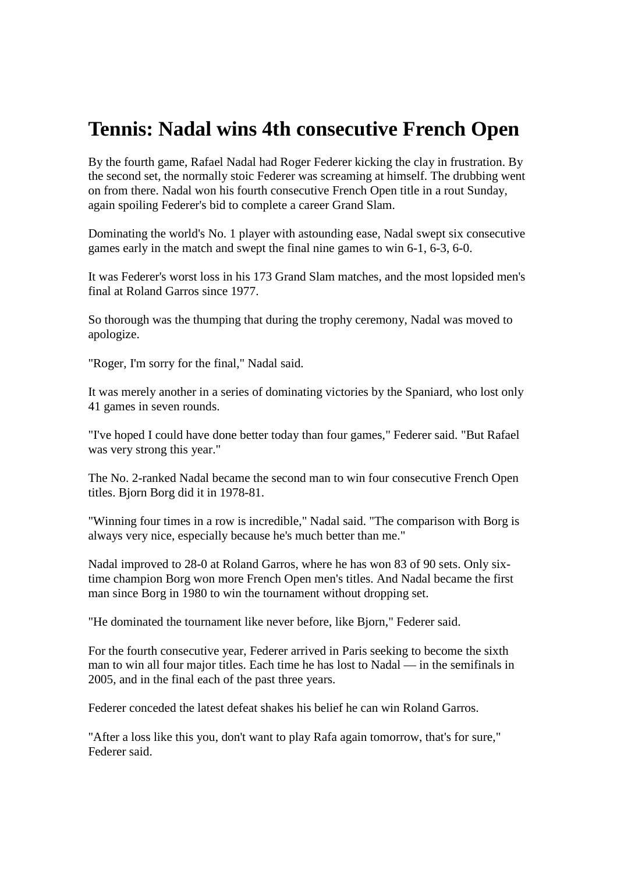## **Tennis: Nadal wins 4th consecutive French Open**

By the fourth game, Rafael Nadal had Roger Federer kicking the clay in frustration. By the second set, the normally stoic Federer was screaming at himself. The drubbing went on from there. Nadal won his fourth consecutive French Open title in a rout Sunday, again spoiling Federer's bid to complete a career Grand Slam.

Dominating the world's No. 1 player with astounding ease, Nadal swept six consecutive games early in the match and swept the final nine games to win 6-1, 6-3, 6-0.

It was Federer's worst loss in his 173 Grand Slam matches, and the most lopsided men's final at Roland Garros since 1977.

So thorough was the thumping that during the trophy ceremony, Nadal was moved to apologize.

"Roger, I'm sorry for the final," Nadal said.

It was merely another in a series of dominating victories by the Spaniard, who lost only 41 games in seven rounds.

"I've hoped I could have done better today than four games," Federer said. "But Rafael was very strong this year."

The No. 2-ranked Nadal became the second man to win four consecutive French Open titles. Bjorn Borg did it in 1978-81.

"Winning four times in a row is incredible," Nadal said. "The comparison with Borg is always very nice, especially because he's much better than me."

Nadal improved to 28-0 at Roland Garros, where he has won 83 of 90 sets. Only sixtime champion Borg won more French Open men's titles. And Nadal became the first man since Borg in 1980 to win the tournament without dropping set.

"He dominated the tournament like never before, like Bjorn," Federer said.

For the fourth consecutive year, Federer arrived in Paris seeking to become the sixth man to win all four major titles. Each time he has lost to Nadal — in the semifinals in 2005, and in the final each of the past three years.

Federer conceded the latest defeat shakes his belief he can win Roland Garros.

"After a loss like this you, don't want to play Rafa again tomorrow, that's for sure," Federer said.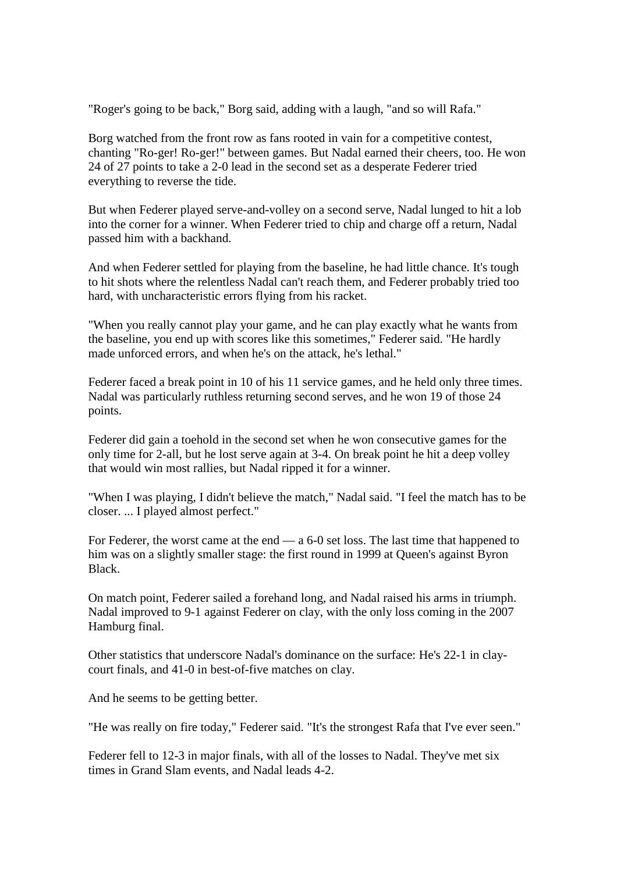"Roger's going to be back," Borg said, adding with a laugh, "and so will Rafa."

Borg watched from the front row as fans rooted in vain for a competitive contest, chanting "Ro-ger! Ro-ger!" between games. But Nadal earned their cheers, too. He won 24 of 27 points to take a 2-0 lead in the second set as a desperate Federer tried everything to reverse the tide.

But when Federer played serve-and-volley on a second serve, Nadal lunged to hit a lob into the corner for a winner. When Federer tried to chip and charge off a return, Nadal passed him with a backhand.

And when Federer settled for playing from the baseline, he had little chance. It's tough to hit shots where the relentless Nadal can't reach them, and Federer probably tried too hard, with uncharacteristic errors flying from his racket.

"When you really cannot play your game, and he can play exactly what he wants from the baseline, you end up with scores like this sometimes," Federer said. "He hardly made unforced errors, and when he's on the attack, he's lethal."

Federer faced a break point in 10 of his 11 service games, and he held only three times. Nadal was particularly ruthless returning second serves, and he won 19 of those 24 points.

Federer did gain a toehold in the second set when he won consecutive games for the only time for 2-all, but he lost serve again at 3-4. On break point he hit a deep volley that would win most rallies, but Nadal ripped it for a winner.

"When I was playing, I didn't believe the match," Nadal said. "I feel the match has to be closer. ... I played almost perfect."

For Federer, the worst came at the end — a 6-0 set loss. The last time that happened to him was on a slightly smaller stage: the first round in 1999 at Queen's against Byron Black.

On match point, Federer sailed a forehand long, and Nadal raised his arms in triumph. Nadal improved to 9-1 against Federer on clay, with the only loss coming in the 2007 Hamburg final.

Other statistics that underscore Nadal's dominance on the surface: He's 22-1 in claycourt finals, and 41-0 in best-of-five matches on clay.

And he seems to be getting better.

"He was really on fire today," Federer said. "It's the strongest Rafa that I've ever seen."

Federer fell to 12-3 in major finals, with all of the losses to Nadal. They've met six times in Grand Slam events, and Nadal leads 4-2.